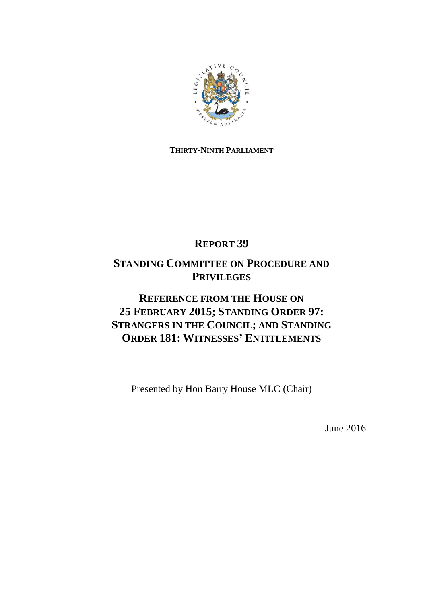

# **THIRTY-NINTH PARLIAMENT**

# **REPORT 39**

# **STANDING COMMITTEE ON PROCEDURE AND PRIVILEGES**

# **REFERENCE FROM THE HOUSE ON 25 FEBRUARY 2015; STANDING ORDER 97: STRANGERS IN THE COUNCIL; AND STANDING ORDER 181: WITNESSES' ENTITLEMENTS**

Presented by Hon Barry House MLC (Chair)

June 2016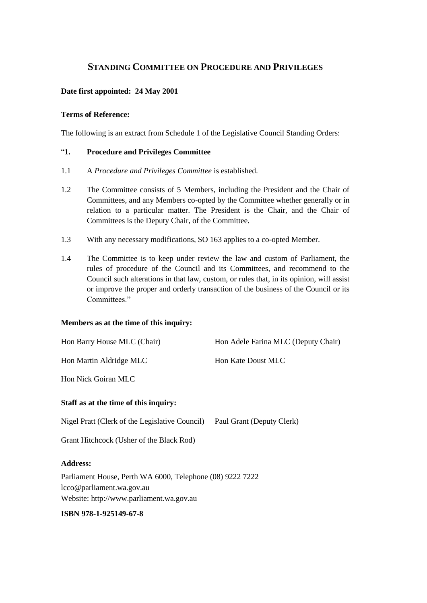# **STANDING COMMITTEE ON PROCEDURE AND PRIVILEGES**

# **Date first appointed: 24 May 2001**

#### **Terms of Reference:**

The following is an extract from Schedule 1 of the Legislative Council Standing Orders:

# "**1. Procedure and Privileges Committee**

- 1.1 A *Procedure and Privileges Committee* is established.
- 1.2 The Committee consists of 5 Members, including the President and the Chair of Committees, and any Members co-opted by the Committee whether generally or in relation to a particular matter. The President is the Chair, and the Chair of Committees is the Deputy Chair, of the Committee.
- 1.3 With any necessary modifications, SO 163 applies to a co-opted Member.
- 1.4 The Committee is to keep under review the law and custom of Parliament, the rules of procedure of the Council and its Committees, and recommend to the Council such alterations in that law, custom, or rules that, in its opinion, will assist or improve the proper and orderly transaction of the business of the Council or its Committees."

#### **Members as at the time of this inquiry:**

| Hon Barry House MLC (Chair)                               | Hon Adele Farina MLC (Deputy Chair) |
|-----------------------------------------------------------|-------------------------------------|
| Hon Martin Aldridge MLC                                   | Hon Kate Doust MLC                  |
| Hon Nick Goiran MLC                                       |                                     |
| Staff as at the time of this inquiry:                     |                                     |
| Nigel Pratt (Clerk of the Legislative Council)            | Paul Grant (Deputy Clerk)           |
| Grant Hitchcock (Usher of the Black Rod)                  |                                     |
| <b>Address:</b>                                           |                                     |
| Parliament House, Perth WA 6000, Telephone (08) 9222 7222 |                                     |
| lcco@parliament.wa.gov.au                                 |                                     |

Website: http://www.parliament.wa.gov.au

# **ISBN 978-1-925149-67-8**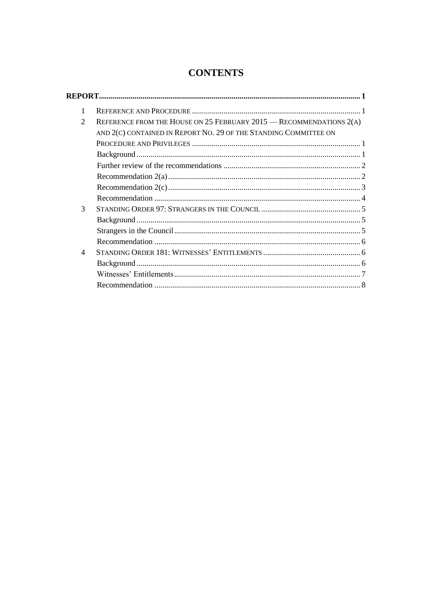# **CONTENTS**

| 1                           |                                                                         |  |
|-----------------------------|-------------------------------------------------------------------------|--|
| $\mathcal{D}_{\mathcal{L}}$ | REFERENCE FROM THE HOUSE ON 25 FEBRUARY $2015$ - RECOMMENDATIONS $2(A)$ |  |
|                             | AND 2(C) CONTAINED IN REPORT NO. 29 OF THE STANDING COMMITTEE ON        |  |
|                             |                                                                         |  |
|                             |                                                                         |  |
|                             |                                                                         |  |
|                             |                                                                         |  |
|                             |                                                                         |  |
|                             |                                                                         |  |
| 3                           |                                                                         |  |
|                             |                                                                         |  |
|                             |                                                                         |  |
|                             |                                                                         |  |
| 4                           |                                                                         |  |
|                             |                                                                         |  |
|                             |                                                                         |  |
|                             |                                                                         |  |
|                             |                                                                         |  |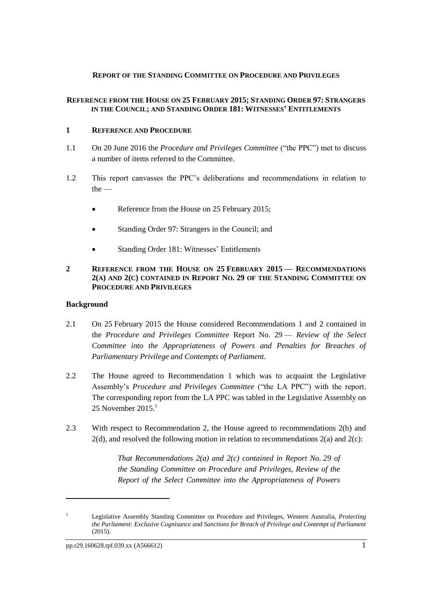#### <span id="page-4-0"></span>**REPORT OF THE STANDING COMMITTEE ON PROCEDURE AND PRIVILEGES**

## **REFERENCE FROM THE HOUSE ON 25 FEBRUARY 2015; STANDING ORDER 97: STRANGERS IN THE COUNCIL; AND STANDING ORDER 181: WITNESSES' ENTITLEMENTS**

# <span id="page-4-1"></span>**1 REFERENCE AND PROCEDURE**

- 1.1 On 20 June 2016 the *Procedure and Privileges Committee* ("the PPC") met to discuss a number of items referred to the Committee.
- 1.2 This report canvasses the PPC's deliberations and recommendations in relation to the —
	- Reference from the House on 25 February 2015:
	- Standing Order 97: Strangers in the Council; and
	- Standing Order 181: Witnesses' Entitlements

# <span id="page-4-2"></span>**2 REFERENCE FROM THE HOUSE ON 25 FEBRUARY 2015 — RECOMMENDATIONS 2(A) AND 2(C) CONTAINED IN REPORT NO. 29 OF THE STANDING COMMITTEE ON PROCEDURE AND PRIVILEGES**

# <span id="page-4-3"></span>**Background**

- 2.1 On 25 February 2015 the House considered Recommendations 1 and 2 contained in the *Procedure and Privileges Committee* Report No. 29 — *Review of the Select Committee into the Appropriateness of Powers and Penalties for Breaches of Parliamentary Privilege and Contempts of Parliament.*
- 2.2 The House agreed to Recommendation 1 which was to acquaint the Legislative Assembly's *Procedure and Privileges Committee* ("the LA PPC") with the report. The corresponding report from the LA PPC was tabled in the Legislative Assembly on 25 November 2015. 1
- 2.3 With respect to Recommendation 2, the House agreed to recommendations 2(b) and  $2(d)$ , and resolved the following motion in relation to recommendations  $2(a)$  and  $2(c)$ :

*That Recommendations 2(a) and 2(c) contained in Report No. 29 of the Standing Committee on Procedure and Privileges, Review of the Report of the Select Committee into the Appropriateness of Powers* 

 $\overline{a}$ 

<sup>1</sup> Legislative Assembly Standing Committee on Procedure and Privileges, Western Australia, *Protecting the Parliament: Exclusive Cognisance and Sanctions for Breach of Privilege and Contempt of Parliament* (2015).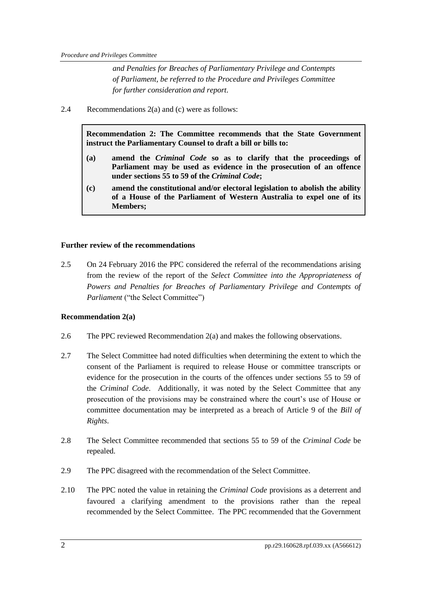*and Penalties for Breaches of Parliamentary Privilege and Contempts of Parliament, be referred to the Procedure and Privileges Committee for further consideration and report.*

2.4 Recommendations 2(a) and (c) were as follows:

**Recommendation 2: The Committee recommends that the State Government instruct the Parliamentary Counsel to draft a bill or bills to:**

- **(a) amend the** *Criminal Code* **so as to clarify that the proceedings of Parliament may be used as evidence in the prosecution of an offence under sections 55 to 59 of the** *Criminal Code***;**
- **(c) amend the constitutional and/or electoral legislation to abolish the ability of a House of the Parliament of Western Australia to expel one of its Members;**

#### <span id="page-5-0"></span>**Further review of the recommendations**

2.5 On 24 February 2016 the PPC considered the referral of the recommendations arising from the review of the report of the *Select Committee into the Appropriateness of Powers and Penalties for Breaches of Parliamentary Privilege and Contempts of Parliament* ("the Select Committee")

#### <span id="page-5-1"></span>**Recommendation 2(a)**

- 2.6 The PPC reviewed Recommendation 2(a) and makes the following observations.
- 2.7 The Select Committee had noted difficulties when determining the extent to which the consent of the Parliament is required to release House or committee transcripts or evidence for the prosecution in the courts of the offences under sections 55 to 59 of the *Criminal Code*. Additionally, it was noted by the Select Committee that any prosecution of the provisions may be constrained where the court's use of House or committee documentation may be interpreted as a breach of Article 9 of the *Bill of Rights*.
- 2.8 The Select Committee recommended that sections 55 to 59 of the *Criminal Code* be repealed.
- 2.9 The PPC disagreed with the recommendation of the Select Committee.
- 2.10 The PPC noted the value in retaining the *Criminal Code* provisions as a deterrent and favoured a clarifying amendment to the provisions rather than the repeal recommended by the Select Committee. The PPC recommended that the Government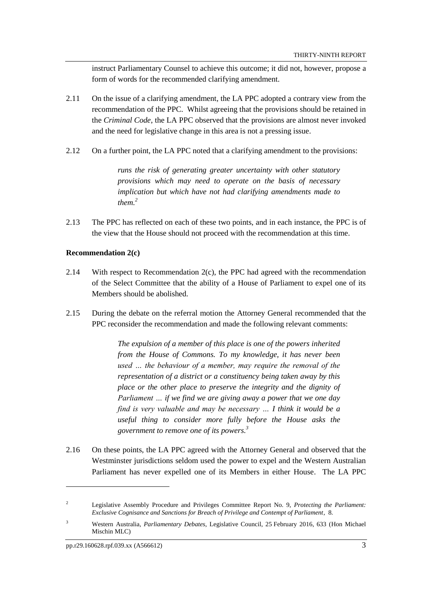instruct Parliamentary Counsel to achieve this outcome; it did not, however, propose a form of words for the recommended clarifying amendment.

- 2.11 On the issue of a clarifying amendment, the LA PPC adopted a contrary view from the recommendation of the PPC. Whilst agreeing that the provisions should be retained in the *Criminal Code*, the LA PPC observed that the provisions are almost never invoked and the need for legislative change in this area is not a pressing issue.
- 2.12 On a further point, the LA PPC noted that a clarifying amendment to the provisions:

*runs the risk of generating greater uncertainty with other statutory provisions which may need to operate on the basis of necessary implication but which have not had clarifying amendments made to them.<sup>2</sup>*

2.13 The PPC has reflected on each of these two points, and in each instance, the PPC is of the view that the House should not proceed with the recommendation at this time.

#### <span id="page-6-0"></span>**Recommendation 2(c)**

- 2.14 With respect to Recommendation  $2(c)$ , the PPC had agreed with the recommendation of the Select Committee that the ability of a House of Parliament to expel one of its Members should be abolished.
- 2.15 During the debate on the referral motion the Attorney General recommended that the PPC reconsider the recommendation and made the following relevant comments:

*The expulsion of a member of this place is one of the powers inherited from the House of Commons. To my knowledge, it has never been used … the behaviour of a member, may require the removal of the representation of a district or a constituency being taken away by this place or the other place to preserve the integrity and the dignity of Parliament … if we find we are giving away a power that we one day find is very valuable and may be necessary … I think it would be a useful thing to consider more fully before the House asks the government to remove one of its powers. 3*

2.16 On these points, the LA PPC agreed with the Attorney General and observed that the Westminster jurisdictions seldom used the power to expel and the Western Australian Parliament has never expelled one of its Members in either House. The LA PPC

 $\overline{a}$ 

<sup>2</sup> Legislative Assembly Procedure and Privileges Committee Report No. 9, *Protecting the Parliament: Exclusive Cognisance and Sanctions for Breach of Privilege and Contempt of Parliament*, 8.

<sup>3</sup> Western Australia, *Parliamentary Debates*, Legislative Council, 25 February 2016, 633 (Hon Michael Mischin MLC)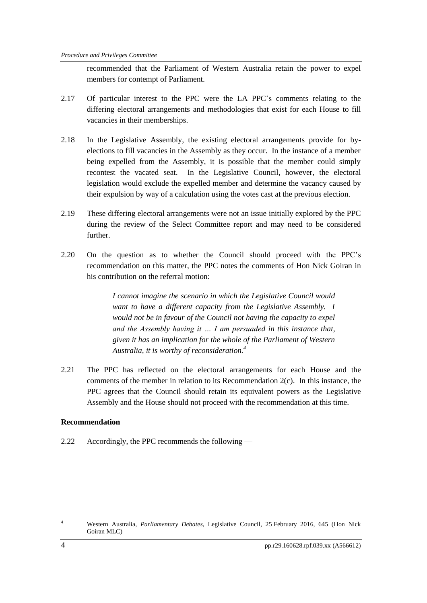recommended that the Parliament of Western Australia retain the power to expel members for contempt of Parliament.

- 2.17 Of particular interest to the PPC were the LA PPC's comments relating to the differing electoral arrangements and methodologies that exist for each House to fill vacancies in their memberships.
- 2.18 In the Legislative Assembly, the existing electoral arrangements provide for byelections to fill vacancies in the Assembly as they occur. In the instance of a member being expelled from the Assembly, it is possible that the member could simply recontest the vacated seat. In the Legislative Council, however, the electoral legislation would exclude the expelled member and determine the vacancy caused by their expulsion by way of a calculation using the votes cast at the previous election.
- 2.19 These differing electoral arrangements were not an issue initially explored by the PPC during the review of the Select Committee report and may need to be considered further.
- 2.20 On the question as to whether the Council should proceed with the PPC's recommendation on this matter, the PPC notes the comments of Hon Nick Goiran in his contribution on the referral motion:

*I cannot imagine the scenario in which the Legislative Council would want to have a different capacity from the Legislative Assembly. I would not be in favour of the Council not having the capacity to expel and the Assembly having it … I am persuaded in this instance that, given it has an implication for the whole of the Parliament of Western Australia, it is worthy of reconsideration.<sup>4</sup>* 

2.21 The PPC has reflected on the electoral arrangements for each House and the comments of the member in relation to its Recommendation  $2(c)$ . In this instance, the PPC agrees that the Council should retain its equivalent powers as the Legislative Assembly and the House should not proceed with the recommendation at this time.

# <span id="page-7-0"></span>**Recommendation**

2.22 Accordingly, the PPC recommends the following —

1

<sup>4</sup> Western Australia, *Parliamentary Debates*, Legislative Council, 25 February 2016, 645 (Hon Nick Goiran MLC)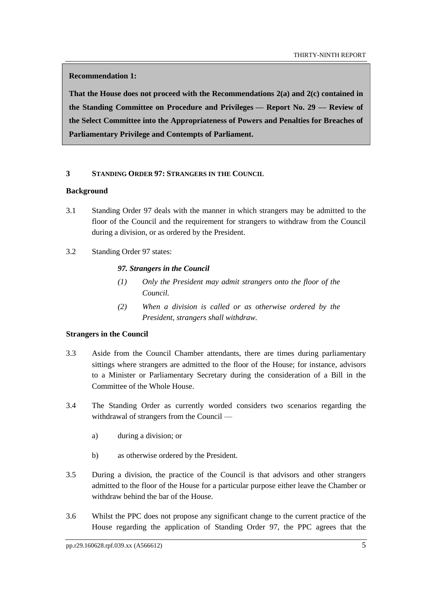**Recommendation 1:**

**That the House does not proceed with the Recommendations 2(a) and 2(c) contained in the Standing Committee on Procedure and Privileges — Report No. 29 — Review of the Select Committee into the Appropriateness of Powers and Penalties for Breaches of Parliamentary Privilege and Contempts of Parliament.**

## <span id="page-8-0"></span>**3 STANDING ORDER 97: STRANGERS IN THE COUNCIL**

#### <span id="page-8-1"></span>**Background**

- 3.1 Standing Order 97 deals with the manner in which strangers may be admitted to the floor of the Council and the requirement for strangers to withdraw from the Council during a division, or as ordered by the President.
- 3.2 Standing Order 97 states:

## *97. Strangers in the Council*

- *(1) Only the President may admit strangers onto the floor of the Council.*
- *(2) When a division is called or as otherwise ordered by the President, strangers shall withdraw.*

# <span id="page-8-2"></span>**Strangers in the Council**

- 3.3 Aside from the Council Chamber attendants, there are times during parliamentary sittings where strangers are admitted to the floor of the House; for instance, advisors to a Minister or Parliamentary Secretary during the consideration of a Bill in the Committee of the Whole House.
- 3.4 The Standing Order as currently worded considers two scenarios regarding the withdrawal of strangers from the Council
	- a) during a division; or
	- b) as otherwise ordered by the President.
- 3.5 During a division, the practice of the Council is that advisors and other strangers admitted to the floor of the House for a particular purpose either leave the Chamber or withdraw behind the bar of the House.
- 3.6 Whilst the PPC does not propose any significant change to the current practice of the House regarding the application of Standing Order 97, the PPC agrees that the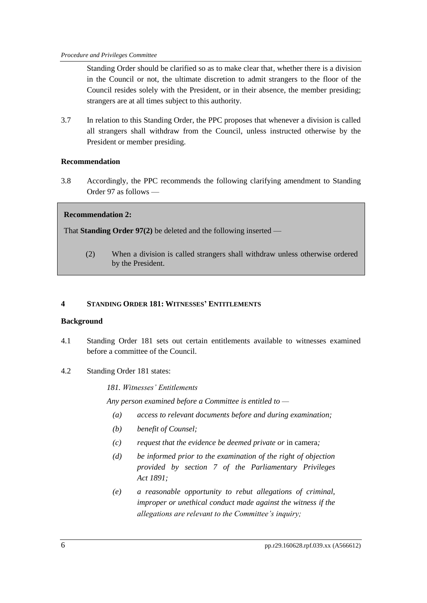Standing Order should be clarified so as to make clear that, whether there is a division in the Council or not, the ultimate discretion to admit strangers to the floor of the Council resides solely with the President, or in their absence, the member presiding; strangers are at all times subject to this authority.

3.7 In relation to this Standing Order, the PPC proposes that whenever a division is called all strangers shall withdraw from the Council, unless instructed otherwise by the President or member presiding.

## <span id="page-9-0"></span>**Recommendation**

3.8 Accordingly, the PPC recommends the following clarifying amendment to Standing Order 97 as follows —

## **Recommendation 2:**

That **Standing Order 97(2)** be deleted and the following inserted —

(2) When a division is called strangers shall withdraw unless otherwise ordered by the President.

### <span id="page-9-1"></span>**4 STANDING ORDER 181: WITNESSES' ENTITLEMENTS**

#### <span id="page-9-2"></span>**Background**

- 4.1 Standing Order 181 sets out certain entitlements available to witnesses examined before a committee of the Council.
- 4.2 Standing Order 181 states:

#### *181. Witnesses' Entitlements*

*Any person examined before a Committee is entitled to —*

- *(a) access to relevant documents before and during examination;*
- *(b) benefit of Counsel;*
- *(c) request that the evidence be deemed private or* in camera*;*
- *(d) be informed prior to the examination of the right of objection provided by section 7 of the Parliamentary Privileges Act 1891;*
- *(e) a reasonable opportunity to rebut allegations of criminal, improper or unethical conduct made against the witness if the allegations are relevant to the Committee's inquiry;*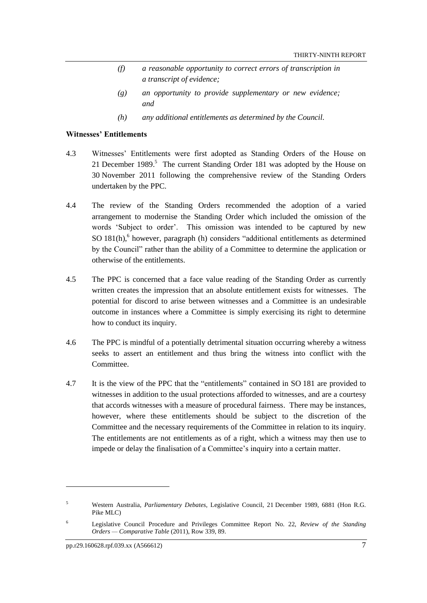- *(f) a reasonable opportunity to correct errors of transcription in a transcript of evidence;*
- *(g) an opportunity to provide supplementary or new evidence; and*
- *(h) any additional entitlements as determined by the Council.*

#### <span id="page-10-0"></span>**Witnesses' Entitlements**

- 4.3 Witnesses' Entitlements were first adopted as Standing Orders of the House on 21 December 1989.<sup>5</sup> The current Standing Order 181 was adopted by the House on 30 November 2011 following the comprehensive review of the Standing Orders undertaken by the PPC.
- 4.4 The review of the Standing Orders recommended the adoption of a varied arrangement to modernise the Standing Order which included the omission of the words 'Subject to order'. This omission was intended to be captured by new SO 181(h), 6 however, paragraph (h) considers "additional entitlements as determined by the Council" rather than the ability of a Committee to determine the application or otherwise of the entitlements.
- 4.5 The PPC is concerned that a face value reading of the Standing Order as currently written creates the impression that an absolute entitlement exists for witnesses. The potential for discord to arise between witnesses and a Committee is an undesirable outcome in instances where a Committee is simply exercising its right to determine how to conduct its inquiry.
- 4.6 The PPC is mindful of a potentially detrimental situation occurring whereby a witness seeks to assert an entitlement and thus bring the witness into conflict with the Committee.
- 4.7 It is the view of the PPC that the "entitlements" contained in SO 181 are provided to witnesses in addition to the usual protections afforded to witnesses, and are a courtesy that accords witnesses with a measure of procedural fairness. There may be instances, however, where these entitlements should be subject to the discretion of the Committee and the necessary requirements of the Committee in relation to its inquiry. The entitlements are not entitlements as of a right, which a witness may then use to impede or delay the finalisation of a Committee's inquiry into a certain matter.

 $\overline{a}$ 

<sup>5</sup> Western Australia, *Parliamentary Debates*, Legislative Council, 21 December 1989, 6881 (Hon R.G. Pike MLC)

<sup>6</sup> Legislative Council Procedure and Privileges Committee Report No. 22, *Review of the Standing Orders — Comparative Table* (2011), Row 339, 89.